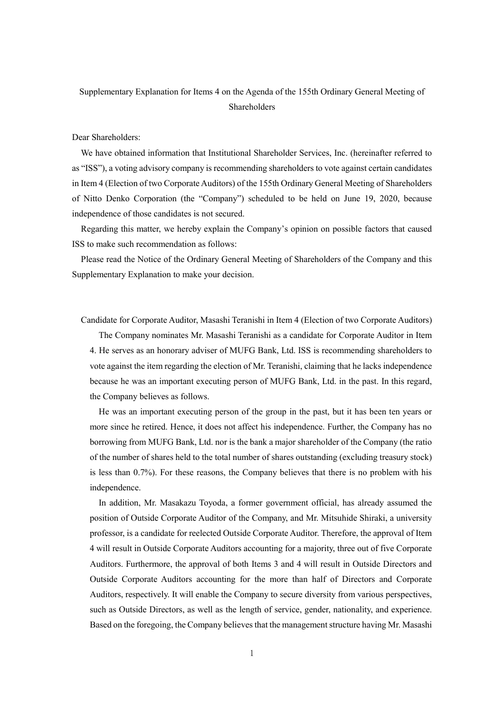## Supplementary Explanation for Items 4 on the Agenda of the 155th Ordinary General Meeting of Shareholders

## Dear Shareholders:

We have obtained information that Institutional Shareholder Services, Inc. (hereinafter referred to as "ISS"), a voting advisory company is recommending shareholders to vote against certain candidates in Item 4 (Election of two Corporate Auditors) of the 155th Ordinary General Meeting of Shareholders of Nitto Denko Corporation (the "Company") scheduled to be held on June 19, 2020, because independence of those candidates is not secured.

Regarding this matter, we hereby explain the Company's opinion on possible factors that caused ISS to make such recommendation as follows:

Please read the Notice of the Ordinary General Meeting of Shareholders of the Company and this Supplementary Explanation to make your decision.

Candidate for Corporate Auditor, Masashi Teranishi in Item 4 (Election of two Corporate Auditors)

The Company nominates Mr. Masashi Teranishi as a candidate for Corporate Auditor in Item 4. He serves as an honorary adviser of MUFG Bank, Ltd. ISS is recommending shareholders to vote against the item regarding the election of Mr. Teranishi, claiming that he lacks independence because he was an important executing person of MUFG Bank, Ltd. in the past. In this regard, the Company believes as follows.

He was an important executing person of the group in the past, but it has been ten years or more since he retired. Hence, it does not affect his independence. Further, the Company has no borrowing from MUFG Bank, Ltd. nor is the bank a major shareholder of the Company (the ratio of the number of shares held to the total number of shares outstanding (excluding treasury stock) is less than 0.7%). For these reasons, the Company believes that there is no problem with his independence.

In addition, Mr. Masakazu Toyoda, a former government official, has already assumed the position of Outside Corporate Auditor of the Company, and Mr. Mitsuhide Shiraki, a university professor, is a candidate for reelected Outside Corporate Auditor. Therefore, the approval of Item 4 will result in Outside Corporate Auditors accounting for a majority, three out of five Corporate Auditors. Furthermore, the approval of both Items 3 and 4 will result in Outside Directors and Outside Corporate Auditors accounting for the more than half of Directors and Corporate Auditors, respectively. It will enable the Company to secure diversity from various perspectives, such as Outside Directors, as well as the length of service, gender, nationality, and experience. Based on the foregoing, the Company believes that the management structure having Mr. Masashi